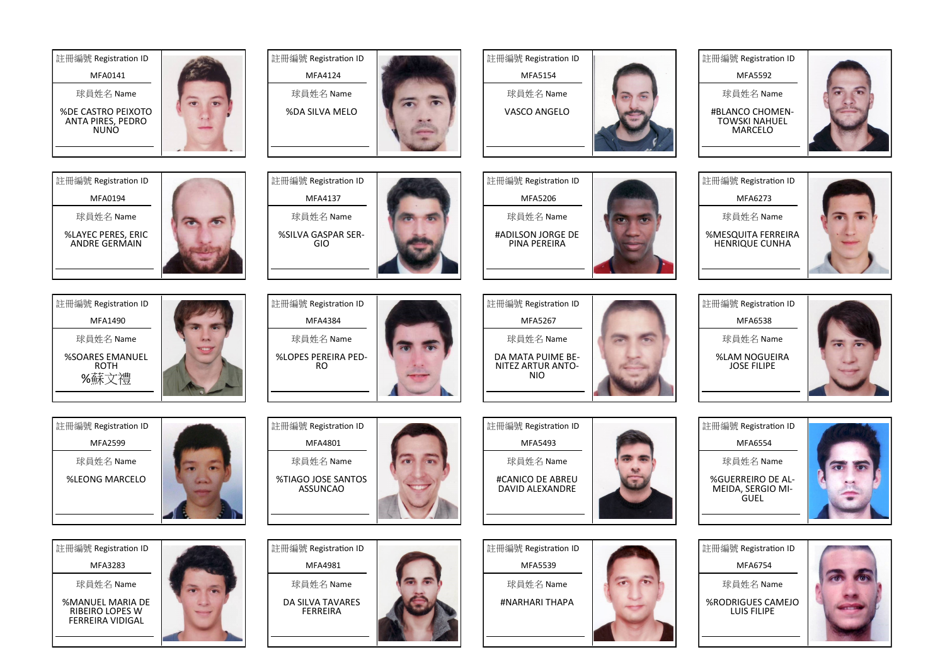